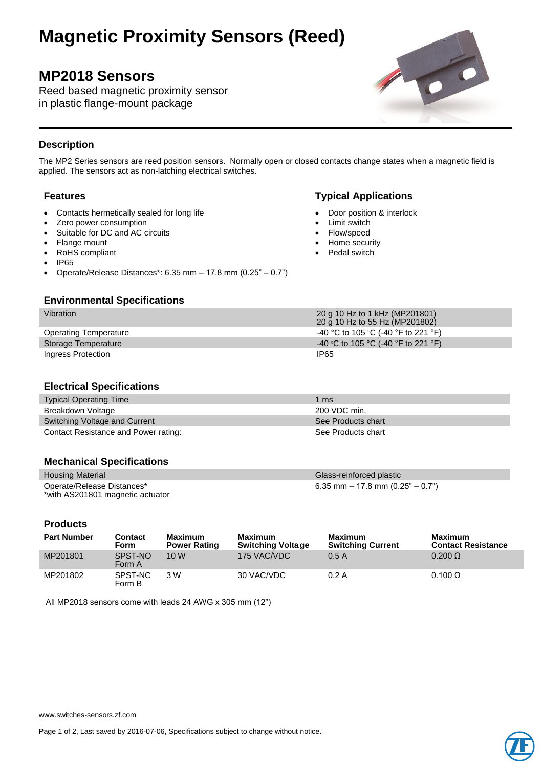# **Magnetic Proximity Sensors (Reed)**

## **MP2018 Sensors**

Reed based magnetic proximity sensor in plastic flange-mount package



Door position & interlock

 Limit switch Flow/speed Home security Pedal switch

### **Description**

The MP2 Series sensors are reed position sensors. Normally open or closed contacts change states when a magnetic field is applied. The sensors act as non-latching electrical switches.

#### **Features Typical Applications**

- Contacts hermetically sealed for long life
- Zero power consumption
- Suitable for DC and AC circuits
- Flange mount
- RoHS compliant
- IP65
- Operate/Release Distances\*:  $6.35$  mm  $-17.8$  mm  $(0.25<sup>7</sup> 0.7<sup>7</sup>)$

#### **Environmental Specifications**

| Vibration                    | 20 g 10 Hz to 1 kHz (MP201801)<br>20 g 10 Hz to 55 Hz (MP201802) |
|------------------------------|------------------------------------------------------------------|
| <b>Operating Temperature</b> | -40 °C to 105 °C (-40 °F to 221 °F)                              |
| Storage Temperature          | -40 °C to 105 °C (-40 °F to 221 °F)                              |
| Ingress Protection           | IP65                                                             |

#### **Electrical Specifications**

| <b>Typical Operating Time</b>        | 1 ms               |
|--------------------------------------|--------------------|
| Breakdown Voltage                    | 200 VDC min.       |
| Switching Voltage and Current        | See Products chart |
| Contact Resistance and Power rating: | See Products chart |

#### **Mechanical Specifications**

| <b>Housing Material</b>                                        | Glass-reinforced plastic              |
|----------------------------------------------------------------|---------------------------------------|
| Operate/Release Distances*<br>*with AS201801 magnetic actuator | $6.35$ mm $-17.8$ mm (0.25" $-0.7$ ") |

#### **Products**

ı

| <b>Part Number</b> | Contact<br><b>Form</b> | <b>Maximum</b><br><b>Power Rating</b> | <b>Maximum</b><br><b>Switching Voltage</b> | <b>Maximum</b><br><b>Switching Current</b> | Maximum<br><b>Contact Resistance</b> |
|--------------------|------------------------|---------------------------------------|--------------------------------------------|--------------------------------------------|--------------------------------------|
| MP201801           | SPST-NO<br>Form A      | 10W                                   | 175 VAC/VDC                                | 0.5A                                       | $0.200 \Omega$                       |
| MP201802           | SPST-NC<br>Form B      | 3 W                                   | 30 VAC/VDC                                 | 0.2A                                       | $0.100 \Omega$                       |

All MP2018 sensors come with leads 24 AWG x 305 mm (12")